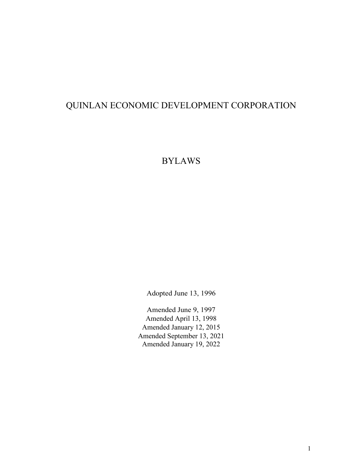# QUINLAN ECONOMIC DEVELOPMENT CORPORATION

# BYLAWS

Adopted June 13, 1996

Amended June 9, 1997 Amended April 13, 1998 Amended January 12, 2015 Amended September 13, 2021 Amended January 19, 2022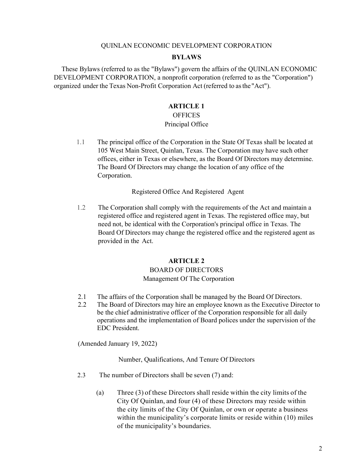### QUINLAN ECONOMIC DEVELOPMENT CORPORATION

### **BYLAWS**

These Bylaws (referred to as the "Bylaws") govern the affairs of the QUINLAN ECONOMIC DEVELOPMENT CORPORATION, a nonprofit corporation (referred to as the "Corporation") organized under the Texas Non-Profit Corporation Act (referred to asthe "Act").

### **ARTICLE 1**

# **OFFICES**

### Principal Office

1.1 The principal office of the Corporation in the State Of Texas shall be located at 105 West Main Street, Quinlan, Texas. The Corporation may have such other offices, either in Texas or elsewhere, as the Board Of Directors may determine. The Board Of Directors may change the location of any office of the Corporation.

### Registered Office And Registered Agent

1.2 The Corporation shall comply with the requirements of the Act and maintain a registered office and registered agent in Texas. The registered office may, but need not, be identical with the Corporation's principal office in Texas. The Board Of Directors may change the registered office and the registered agent as provided in the Act.

### **ARTICLE 2**

### BOARD OF DIRECTORS

### Management Of The Corporation

- 2.1 The affairs of the Corporation shall be managed by the Board Of Directors.
- 2.2 The Board of Directors may hire an employee known as the Executive Director to be the chief administrative officer of the Corporation responsible for all daily operations and the implementation of Board polices under the supervision of the EDC President.

(Amended January 19, 2022)

Number, Qualifications, And Tenure Of Directors

- 2.3 The number of Directors shall be seven (7) and:
	- (a) Three (3) of these Directors shall reside within the city limits of the City Of Quinlan, and four (4) of these Directors may reside within the city limits of the City Of Quinlan, or own or operate a business within the municipality's corporate limits or reside within (10) miles of the municipality's boundaries.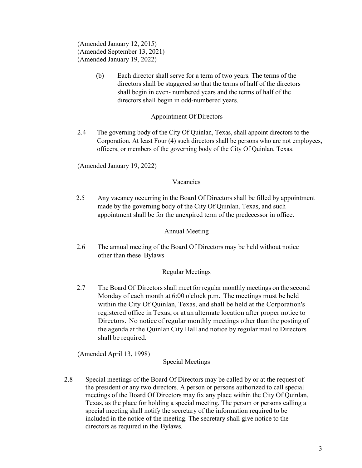(Amended January 12, 2015) (Amended September 13, 2021) (Amended January 19, 2022)

> (b) Each director shall serve for a term of two years. The terms of the directors shall be staggered so that the terms of half of the directors shall begin in even- numbered years and the terms of half of the directors shall begin in odd-numbered years.

## Appointment Of Directors

2.4 The governing body of the City Of Quinlan, Texas, shall appoint directors to the Corporation. At least Four (4) such directors shall be persons who are not employees, officers, or members of the governing body of the City Of Quinlan, Texas.

(Amended January 19, 2022)

## Vacancies

2.5 Any vacancy occurring in the Board Of Directors shall be filled by appointment made by the governing body of the City Of Quinlan, Texas, and such appointment shall be for the unexpired term of the predecessor in office.

## Annual Meeting

2.6 The annual meeting of the Board Of Directors may be held without notice other than these Bylaws

## Regular Meetings

2.7 The Board Of Directors shall meet for regular monthly meetings on the second Monday of each month at 6:00 o'clock p.m. The meetings must be held within the City Of Quinlan, Texas, and shall be held at the Corporation's registered office in Texas, or at an alternate location after proper notice to Directors. No notice of regular monthly meetings other than the posting of the agenda at the Quinlan City Hall and notice by regular mail to Directors shall be required.

(Amended April 13, 1998)

Special Meetings

2.8 Special meetings of the Board Of Directors may be called by or at the request of the president or any two directors. A person or persons authorized to call special meetings of the Board Of Directors may fix any place within the City Of Quinlan, Texas, as the place for holding a special meeting. The person or persons calling a special meeting shall notify the secretary of the information required to be included in the notice of the meeting. The secretary shall give notice to the directors as required in the Bylaws.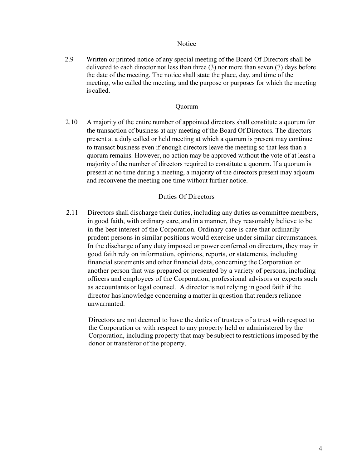### **Notice**

2.9 Written or printed notice of any special meeting of the Board Of Directors shall be delivered to each director not less than three (3) nor more than seven (7) days before the date of the meeting. The notice shall state the place, day, and time of the meeting, who called the meeting, and the purpose or purposes for which the meeting is called.

### Quorum

2.10 A majority of the entire number of appointed directors shall constitute a quorum for the transaction of business at any meeting of the Board Of Directors. The directors present at a duly called or held meeting at which a quorum is present may continue to transact business even if enough directors leave the meeting so that less than a quorum remains. However, no action may be approved without the vote of at least a majority of the number of directors required to constitute a quorum. If a quorum is present at no time during a meeting, a majority of the directors present may adjourn and reconvene the meeting one time without further notice.

## Duties Of Directors

2.11 Directors shall discharge their duties, including any duties as committee members, in good faith, with ordinary care, and in a manner, they reasonably believe to be in the best interest of the Corporation. Ordinary care is care that ordinarily prudent persons in similar positions would exercise under similar circumstances. In the discharge of any duty imposed or power conferred on directors, they may in good faith rely on information, opinions, reports, or statements, including financial statements and other financial data, concerning the Corporation or another person that was prepared or presented by a variety of persons, including officers and employees of the Corporation, professional advisors or experts such as accountants or legal counsel. A director is not relying in good faith if the director has knowledge concerning a matter in question that renders reliance unwarranted.

Directors are not deemed to have the duties of trustees of a trust with respect to the Corporation or with respect to any property held or administered by the Corporation, including property that may be subject to restrictions imposed by the donor or transferor of the property.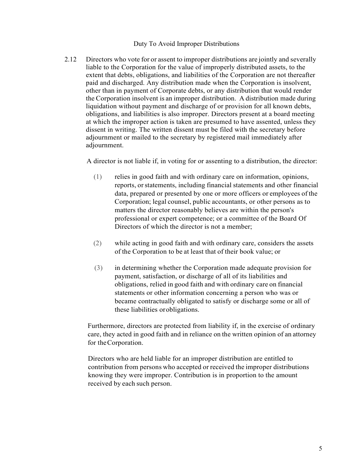### Duty To Avoid Improper Distributions

2.12 Directors who vote for or assent to improper distributions are jointly and severally liable to the Corporation for the value of improperly distributed assets, to the extent that debts, obligations, and liabilities of the Corporation are not thereafter paid and discharged. Any distribution made when the Corporation is insolvent, other than in payment of Corporate debts, or any distribution that would render the Corporation insolvent is an improper distribution. A distribution made during liquidation without payment and discharge of or provision for all known debts, obligations, and liabilities is also improper. Directors present at a board meeting at which the improper action is taken are presumed to have assented, unless they dissent in writing. The written dissent must be filed with the secretary before adjournment or mailed to the secretary by registered mail immediately after adjournment.

A director is not liable if, in voting for or assenting to a distribution, the director:

- (1) relies in good faith and with ordinary care on information, opinions, reports, or statements, including financial statements and other financial data, prepared or presented by one or more officers or employees of the Corporation; legal counsel, public accountants, or other persons as to matters the director reasonably believes are within the person's professional or expert competence; or a committee of the Board Of Directors of which the director is not a member;
- (2) while acting in good faith and with ordinary care, considers the assets of the Corporation to be at least that of their book value; or
- (3) in determining whether the Corporation made adequate provision for payment, satisfaction, or discharge of all of its liabilities and obligations, relied in good faith and with ordinary care on financial statements or other information concerning a person who was or became contractually obligated to satisfy or discharge some or all of these liabilities orobligations.

Furthermore, directors are protected from liability if, in the exercise of ordinary care, they acted in good faith and in reliance on the written opinion of an attorney for theCorporation.

Directors who are held liable for an improper distribution are entitled to contribution from persons who accepted or received the improper distributions knowing they were improper. Contribution is in proportion to the amount received by each such person.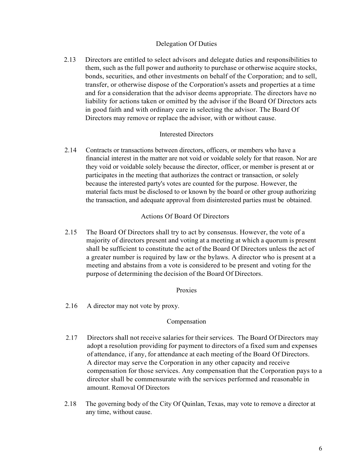## Delegation Of Duties

2.13 Directors are entitled to select advisors and delegate duties and responsibilities to them, such asthe full power and authority to purchase or otherwise acquire stocks, bonds, securities, and other investments on behalf of the Corporation; and to sell, transfer, or otherwise dispose of the Corporation's assets and properties at a time and for a consideration that the advisor deems appropriate. The directors have no liability for actions taken or omitted by the advisor if the Board Of Directors acts in good faith and with ordinary care in selecting the advisor. The Board Of Directors may remove or replace the advisor, with or without cause.

### Interested Directors

2.14 Contracts or transactions between directors, officers, or members who have a financial interest in the matter are not void or voidable solely for that reason. Nor are they void or voidable solely because the director, officer, or member is present at or participates in the meeting that authorizes the contract or transaction, or solely because the interested party's votes are counted for the purpose. However, the material facts must be disclosed to or known by the board or other group authorizing the transaction, and adequate approval from disinterested parties must be obtained.

## Actions Of Board Of Directors

2.15 The Board Of Directors shall try to act by consensus. However, the vote of a majority of directors present and voting at a meeting at which a quorum is present shall be sufficient to constitute the act of the Board Of Directors unless the act of a greater number is required by law or the bylaws. A director who is present at a meeting and abstains from a vote is considered to be present and voting for the purpose of determining the decision of the Board Of Directors.

## Proxies

2.16 A director may not vote by proxy.

## Compensation

- 2.17 Directors shall not receive salaries for their services. The Board Of Directors may adopt a resolution providing for payment to directors of a fixed sum and expenses of attendance, if any, for attendance at each meeting of the Board Of Directors. A director may serve the Corporation in any other capacity and receive compensation for those services. Any compensation that the Corporation pays to a director shall be commensurate with the services performed and reasonable in amount. Removal Of Directors
- 2.18 The governing body of the City Of Quinlan, Texas, may vote to remove a director at any time, without cause.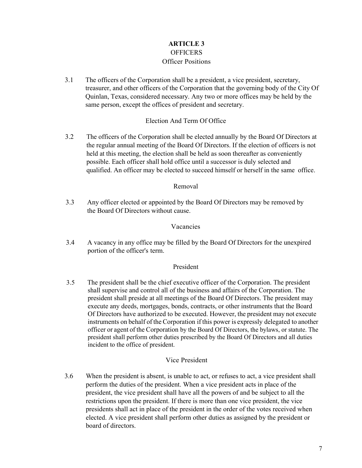# **ARTICLE 3 OFFICERS** Officer Positions

3.1 The officers of the Corporation shall be a president, a vice president, secretary, treasurer, and other officers of the Corporation that the governing body of the City Of Quinlan, Texas, considered necessary. Any two or more offices may be held by the same person, except the offices of president and secretary.

## Election And Term Of Office

3.2 The officers of the Corporation shall be elected annually by the Board Of Directors at the regular annual meeting of the Board Of Directors. If the election of officers is not held at this meeting, the election shall be held as soon thereafter as conveniently possible. Each officer shall hold office until a successor is duly selected and qualified. An officer may be elected to succeed himself or herself in the same office.

## Removal

3.3 Any officer elected or appointed by the Board Of Directors may be removed by the Board Of Directors without cause.

### Vacancies

3.4 A vacancy in any office may be filled by the Board Of Directors for the unexpired portion of the officer's term.

### President

3.5 The president shall be the chief executive officer of the Corporation. The president shall supervise and control all of the business and affairs of the Corporation. The president shall preside at all meetings of the Board Of Directors. The president may execute any deeds, mortgages, bonds, contracts, or other instruments that the Board Of Directors have authorized to be executed. However, the president may not execute instruments on behalf of the Corporation if this power is expressly delegated to another officer or agent of the Corporation by the Board Of Directors, the bylaws, or statute. The president shall perform other duties prescribed by the Board Of Directors and all duties incident to the office of president.

## Vice President

3.6 When the president is absent, is unable to act, or refuses to act, a vice president shall perform the duties of the president. When a vice president acts in place of the president, the vice president shall have all the powers of and be subject to all the restrictions upon the president. If there is more than one vice president, the vice presidents shall act in place of the president in the order of the votes received when elected. A vice president shall perform other duties as assigned by the president or board of directors.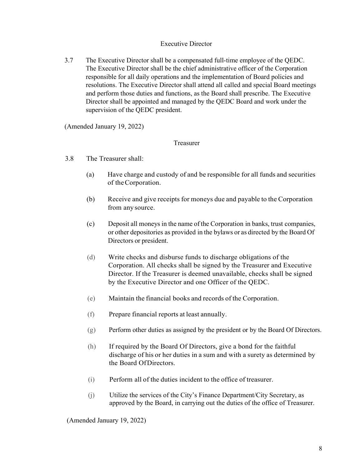## Executive Director

3.7 The Executive Director shall be a compensated full-time employee of the QEDC. The Executive Director shall be the chief administrative officer of the Corporation responsible for all daily operations and the implementation of Board policies and resolutions. The Executive Director shall attend all called and special Board meetings and perform those duties and functions, as the Board shall prescribe. The Executive Director shall be appointed and managed by the QEDC Board and work under the supervision of the QEDC president.

(Amended January 19, 2022)

## Treasurer

- 3.8 The Treasurer shall:
	- (a) Have charge and custody of and be responsible for all funds and securities of theCorporation.
	- (b) Receive and give receipts for moneys due and payable to the Corporation from any source.
	- (c) Deposit all moneys in the name of the Corporation in banks, trust companies, or other depositories as provided in the bylaws or as directed by the Board Of Directors or president.
	- (d) Write checks and disburse funds to discharge obligations of the Corporation. All checks shall be signed by the Treasurer and Executive Director. If the Treasurer is deemed unavailable, checks shall be signed by the Executive Director and one Officer of the QEDC.
	- (e) Maintain the financial books and records of the Corporation.
	- (f) Prepare financial reports at least annually.
	- (g) Perform other duties as assigned by the president or by the Board Of Directors.
	- (h) If required by the Board Of Directors, give a bond for the faithful discharge of his or her duties in a sum and with a surety as determined by the Board OfDirectors.
	- (i) Perform all of the duties incident to the office of treasurer.
	- (j) Utilize the services of the City's Finance Department/City Secretary, as approved by the Board, in carrying out the duties of the office of Treasurer.

(Amended January 19, 2022)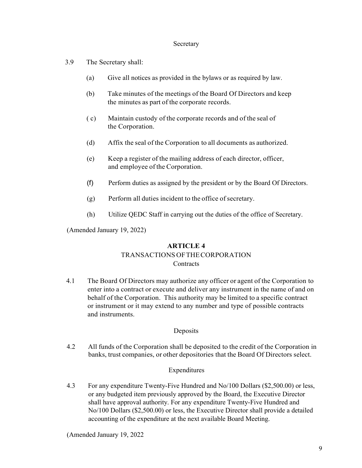### Secretary

- 3.9 The Secretary shall:
	- (a) Give all notices as provided in the bylaws or as required by law.
	- (b) Take minutes of the meetings of the Board Of Directors and keep the minutes as part of the corporate records.
	- ( c) Maintain custody of the corporate records and of the seal of the Corporation.
	- (d) Affix the seal of the Corporation to all documents as authorized.
	- (e) Keep a register of the mailing address of each director, officer, and employee ofthe Corporation.
	- (f) Perform duties as assigned by the president or by the Board Of Directors.
	- (g) Perform all duties incident to the office of secretary.
	- (h) Utilize QEDC Staff in carrying out the duties of the office of Secretary.

(Amended January 19, 2022)

### **ARTICLE 4**

# TRANSACTIONS OFTHECORPORATION

### **Contracts**

4.1 The Board Of Directors may authorize any officer or agent of the Corporation to enter into a contract or execute and deliver any instrument in the name of and on behalf of the Corporation. This authority may be limited to a specific contract or instrument or it may extend to any number and type of possible contracts and instruments.

### Deposits

4.2 All funds of the Corporation shall be deposited to the credit of the Corporation in banks, trust companies, or other depositories that the Board Of Directors select.

### Expenditures

4.3 For any expenditure Twenty-Five Hundred and No/100 Dollars (\$2,500.00) or less, or any budgeted item previously approved by the Board, the Executive Director shall have approval authority. For any expenditure Twenty-Five Hundred and No/100 Dollars (\$2,500.00) or less, the Executive Director shall provide a detailed accounting of the expenditure at the next available Board Meeting.

(Amended January 19, 2022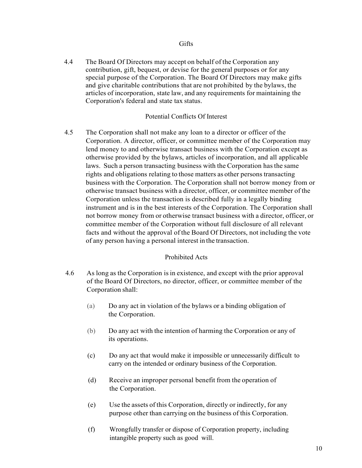4.4 The Board Of Directors may accept on behalf of the Corporation any contribution, gift, bequest, or devise for the general purposes or for any special purpose of the Corporation. The Board Of Directors may make gifts and give charitable contributions that are not prohibited by the bylaws, the articles of incorporation, state law, and any requirements for maintaining the Corporation's federal and state tax status.

### Potential Conflicts Of Interest

4.5 The Corporation shall not make any loan to a director or officer of the Corporation. A director, officer, or committee member of the Corporation may lend money to and otherwise transact business with the Corporation except as otherwise provided by the bylaws, articles of incorporation, and all applicable laws. Such a person transacting business with the Corporation hasthe same rights and obligations relating to those matters as other persons transacting business with the Corporation. The Corporation shall not borrow money from or otherwise transact business with a director, officer, or committee member of the Corporation unless the transaction is described fully in a legally binding instrument and is in the best interests of the Corporation. The Corporation shall not borrow money from or otherwise transact business with a director, officer, or committee member of the Corporation without full disclosure of all relevant facts and without the approval of the Board Of Directors, not including the vote of any person having a personal interest in the transaction.

## Prohibited Acts

- 4.6 As long as the Corporation is in existence, and except with the prior approval of the Board Of Directors, no director, officer, or committee member of the Corporation shall:
	- (a) Do any act in violation of the bylaws or a binding obligation of the Corporation.
	- (b) Do any act with the intention of harming the Corporation or any of its operations.
	- (c) Do any act that would make it impossible or unnecessarily difficult to carry on the intended or ordinary business of the Corporation.
	- (d) Receive an improper personal benefit from the operation of the Corporation.
	- (e) Use the assets of this Corporation, directly or indirectly, for any purpose other than carrying on the business of this Corporation.
	- (f) Wrongfully transfer or dispose of Corporation property, including intangible property such as good will.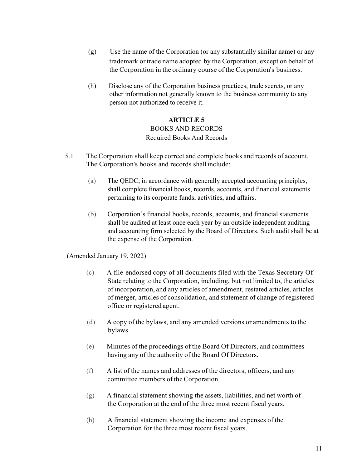- (g) Use the name of the Corporation (or any substantially similar name) or any trademark or trade name adopted by the Corporation, except on behalf of the Corporation in the ordinary course of the Corporation's business.
- (h) Disclose any of the Corporation business practices, trade secrets, or any other information not generally known to the business community to any person not authorized to receive it.

# **ARTICLE 5** BOOKS AND RECORDS Required Books And Records

- 5.1 The Corporation shall keep correct and complete books and records of account. The Corporation's books and records shallinclude:
	- (a) The QEDC, in accordance with generally accepted accounting principles, shall complete financial books, records, accounts, and financial statements pertaining to its corporate funds, activities, and affairs.
	- (b) Corporation's financial books, records, accounts, and financial statements shall be audited at least once each year by an outside independent auditing and accounting firm selected by the Board of Directors. Such audit shall be at the expense of the Corporation.

(Amended January 19, 2022)

- (c) A file-endorsed copy of all documents filed with the Texas Secretary Of State relating to the Corporation, including, but not limited to, the articles of incorporation, and any articles of amendment, restated articles, articles of merger, articles of consolidation, and statement of change of registered office or registered agent.
- (d) A copy of the bylaws, and any amended versions or amendments to the bylaws.
- (e) Minutes of the proceedings of the Board Of Directors, and committees having any of the authority of the Board Of Directors.
- (f) A list of the names and addresses of the directors, officers, and any committee members of the Corporation.
- (g) A financial statement showing the assets, liabilities, and net worth of the Corporation at the end of the three most recent fiscal years.
- (h) A financial statement showing the income and expenses of the Corporation for the three most recent fiscal years.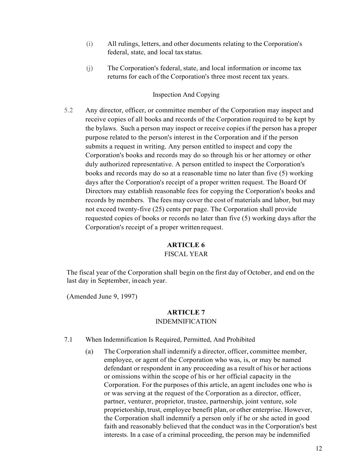- (i) All rulings, letters, and other documents relating to the Corporation's federal, state, and local tax status.
- (j) The Corporation's federal, state, and local information or income tax returns for each of the Corporation's three most recent tax years.

### Inspection And Copying

5.2 Any director, officer, or committee member of the Corporation may inspect and receive copies of all books and records of the Corporation required to be kept by the bylaws. Such a person may inspect or receive copies if the person has a proper purpose related to the person's interest in the Corporation and if the person submits a request in writing. Any person entitled to inspect and copy the Corporation's books and records may do so through his or her attorney or other duly authorized representative. A person entitled to inspect the Corporation's books and records may do so at a reasonable time no later than five (5) working days after the Corporation's receipt of a proper written request. The Board Of Directors may establish reasonable fees for copying the Corporation's books and records by members. The fees may cover the cost of materials and labor, but may not exceed twenty-five (25) cents per page. The Corporation shall provide requested copies of books or records no later than five (5) working days after the Corporation's receipt of a proper writtenrequest.

## **ARTICLE 6**

### FISCAL YEAR

The fiscal year of the Corporation shall begin on the first day of October, and end on the last day in September, ineach year.

(Amended June 9, 1997)

### **ARTICLE 7** INDEMNIFICATION

- 7.1 When Indemnification Is Required, Permitted, And Prohibited
	- (a) The Corporation shall indemnify a director, officer, committee member, employee, or agent of the Corporation who was, is, or may be named defendant or respondent in any proceeding as a result of his or her actions or omissions within the scope of his or her official capacity in the Corporation. For the purposes of this article, an agent includes one who is or was serving at the request of the Corporation as a director, officer, partner, venturer, proprietor, trustee, partnership, joint venture, sole proprietorship, trust, employee benefit plan, or other enterprise. However, the Corporation shall indemnify a person only if he or she acted in good faith and reasonably believed that the conduct was in the Corporation's best interests. In a case of a criminal proceeding, the person may be indemnified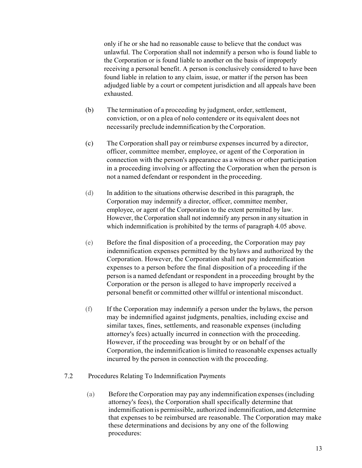only if he or she had no reasonable cause to believe that the conduct was unlawful. The Corporation shall not indemnify a person who is found liable to the Corporation or is found liable to another on the basis of improperly receiving a personal benefit. A person is conclusively considered to have been found liable in relation to any claim, issue, or matter if the person has been adjudged liable by a court or competent jurisdiction and all appeals have been exhausted.

- (b) The termination of a proceeding by judgment, order, settlement, conviction, or on a plea of nolo contendere or its equivalent does not necessarily preclude indemnification by theCorporation.
- (c) The Corporation shall pay or reimburse expenses incurred by a director, officer, committee member, employee, or agent of the Corporation in connection with the person's appearance as a witness or other participation in a proceeding involving or affecting the Corporation when the person is not a named defendant or respondent in the proceeding.
- (d) In addition to the situations otherwise described in this paragraph, the Corporation may indemnify a director, officer, committee member, employee, or agent of the Corporation to the extent permitted by law. However, the Corporation shall not indemnify any person in any situation in which indemnification is prohibited by the terms of paragraph 4.05 above.
- (e) Before the final disposition of a proceeding, the Corporation may pay indemnification expenses permitted by the bylaws and authorized by the Corporation. However, the Corporation shall not pay indemnification expenses to a person before the final disposition of a proceeding if the person is a named defendant or respondent in a proceeding brought by the Corporation or the person is alleged to have improperly received a personal benefit or committed other willful or intentional misconduct.
- (f) If the Corporation may indemnify a person under the bylaws, the person may be indemnified against judgments, penalties, including excise and similar taxes, fines, settlements, and reasonable expenses (including attorney's fees) actually incurred in connection with the proceeding. However, if the proceeding was brought by or on behalf of the Corporation, the indemnification is limited to reasonable expenses actually incurred by the person in connection with the proceeding.
- 7.2 Procedures Relating To Indemnification Payments
	- (a) Before the Corporation may pay any indemnification expenses (including attorney's fees), the Corporation shall specifically determine that indemnification is permissible, authorized indemnification, and determine that expenses to be reimbursed are reasonable. The Corporation may make these determinations and decisions by any one of the following procedures: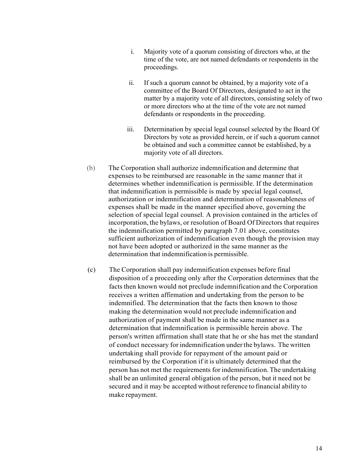- i. Majority vote of a quorum consisting of directors who, at the time of the vote, are not named defendants or respondents in the proceedings.
- ii. If such a quorum cannot be obtained, by a majority vote of a committee of the Board Of Directors, designated to act in the matter by a majority vote of all directors, consisting solely of two or more directors who at the time of the vote are not named defendants or respondents in the proceeding.
- iii. Determination by special legal counsel selected by the Board Of Directors by vote as provided herein, or if such a quorum cannot be obtained and such a committee cannot be established, by a majority vote of all directors.
- (b) The Corporation shall authorize indemnification and determine that expenses to be reimbursed are reasonable in the same manner that it determines whether indemnification is permissible. If the determination that indemnification is permissible is made by special legal counsel, authorization or indemnification and determination of reasonableness of expenses shall be made in the manner specified above, governing the selection of special legal counsel. A provision contained in the articles of incorporation, the bylaws, or resolution of Board Of Directors that requires the indemnification permitted by paragraph 7.01 above, constitutes sufficient authorization of indemnification even though the provision may not have been adopted or authorized in the same manner as the determination that indemnification is permissible.
- (c) The Corporation shall pay indemnification expenses before final disposition of a proceeding only after the Corporation determines that the facts then known would not preclude indemnification and the Corporation receives a written affirmation and undertaking from the person to be indemnified. The determination that the facts then known to those making the determination would not preclude indemnification and authorization of payment shall be made in the same manner as a determination that indemnification is permissible herein above. The person's written affirmation shall state that he or she has met the standard of conduct necessary for indemnification underthe bylaws. The written undertaking shall provide for repayment of the amount paid or reimbursed by the Corporation if it is ultimately determined that the person has not met the requirements for indemnification.The undertaking shall be an unlimited general obligation of the person, but it need not be secured and it may be accepted without reference to financial ability to make repayment.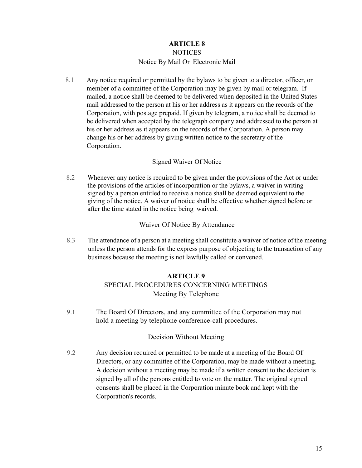# **ARTICLE 8 NOTICES**

# Notice By Mail Or Electronic Mail

8.1 Any notice required or permitted by the bylaws to be given to a director, officer, or member of a committee of the Corporation may be given by mail or telegram. If mailed, a notice shall be deemed to be delivered when deposited in the United States mail addressed to the person at his or her address as it appears on the records of the Corporation, with postage prepaid. If given by telegram, a notice shall be deemed to be delivered when accepted by the telegraph company and addressed to the person at his or her address as it appears on the records of the Corporation. A person may change his or her address by giving written notice to the secretary of the Corporation.

# Signed Waiver Of Notice

8.2 Whenever any notice is required to be given under the provisions of the Act or under the provisions of the articles of incorporation or the bylaws, a waiver in writing signed by a person entitled to receive a notice shall be deemed equivalent to the giving of the notice. A waiver of notice shall be effective whether signed before or after the time stated in the notice being waived.

Waiver Of Notice By Attendance

8.3 The attendance of a person at a meeting shall constitute a waiver of notice of the meeting unless the person attends for the express purpose of objecting to the transaction of any business because the meeting is not lawfully called or convened.

# **ARTICLE 9**

# SPECIAL PROCEDURES CONCERNING MEETINGS Meeting By Telephone

9.1 The Board Of Directors, and any committee of the Corporation may not hold a meeting by telephone conference-call procedures.

# Decision Without Meeting

9.2 Any decision required or permitted to be made at a meeting of the Board Of Directors, or any committee of the Corporation, may be made without a meeting. A decision without a meeting may be made if a written consent to the decision is signed by all of the persons entitled to vote on the matter. The original signed consents shall be placed in the Corporation minute book and kept with the Corporation's records.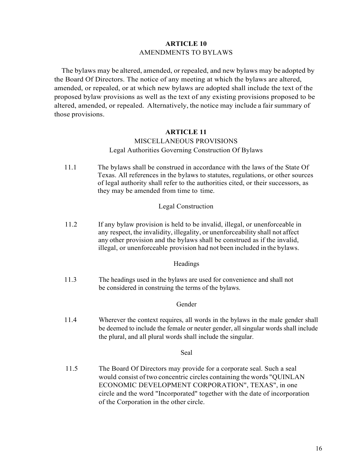## **ARTICLE 10** AMENDMENTS TO BYLAWS

The bylaws may be altered, amended, or repealed, and new bylaws may be adopted by the Board Of Directors. The notice of any meeting at which the bylaws are altered, amended, or repealed, or at which new bylaws are adopted shall include the text of the proposed bylaw provisions as well as the text of any existing provisions proposed to be altered, amended, or repealed. Alternatively, the notice may include a fairsummary of those provisions.

### **ARTICLE 11**

### MISCELLANEOUS PROVISIONS

### Legal Authorities Governing Construction Of Bylaws

11.1 The bylaws shall be construed in accordance with the laws of the State Of Texas. All references in the bylaws to statutes, regulations, or other sources of legal authority shall refer to the authorities cited, or their successors, as they may be amended from time to time.

### Legal Construction

11.2 If any bylaw provision is held to be invalid, illegal, or unenforceable in any respect, the invalidity, illegality, or unenforceability shall not affect any other provision and the bylaws shall be construed as if the invalid, illegal, or unenforceable provision had not been included in the bylaws.

### Headings

11.3 The headings used in the bylaws are used for convenience and shall not be considered in construing the terms of the bylaws.

### Gender

11.4 Wherever the context requires, all words in the bylaws in the male gender shall be deemed to include the female or neuter gender, all singular words shall include the plural, and all plural words shall include the singular.

### Seal

11.5 The Board Of Directors may provide for a corporate seal. Such a seal would consist of two concentric circles containing the words "QUINLAN ECONOMIC DEVELOPMENT CORPORATION", TEXAS", in one circle and the word "Incorporated" together with the date of incorporation of the Corporation in the other circle.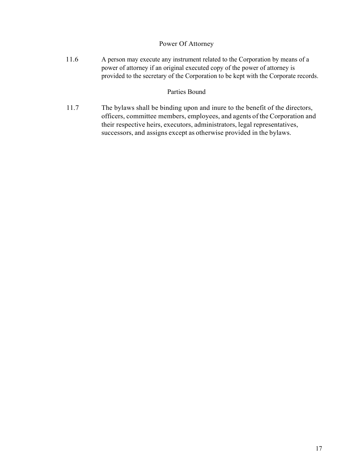## Power Of Attorney

11.6 A person may execute any instrument related to the Corporation by means of a power of attorney if an original executed copy of the power of attorney is provided to the secretary of the Corporation to be kept with the Corporate records.

# Parties Bound

11.7 The bylaws shall be binding upon and inure to the benefit of the directors, officers, committee members, employees, and agents of the Corporation and their respective heirs, executors, administrators, legal representatives, successors, and assigns except as otherwise provided in the bylaws.